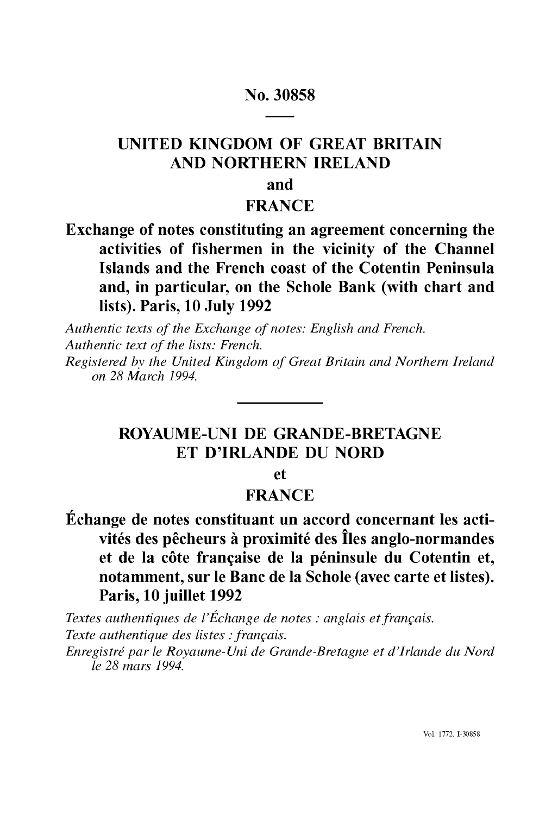## No. 30858

# **UNITED KINGDOM OF GREAT BRITAIN AND NORTHERN IRELAND**

### **and**

## **FRANCE**

# **Exchange of notes constituting an agreement concerning the activities of fishermen in the vicinity of the Channel Islands and the French coast of the Cotentin Peninsula and, in particular, on the Schole Bank (with chart and lists). Paris, 10 July 1992**

*Authentic texts of the Exchange of notes: English and French. Authentic text of the lists: French.*

*Registered by the United Kingdom, of Great Britain and Northern Ireland on 28 March 1994.*

## **ROYAUME-UNI DE GRANDE-BRETAGNE ET D'IRLANDE DU NORD**

### **et**

### **FRANCE**

**Échange de notes constituant un accord concernant les acti vités des pêcheurs à proximité des îles anglo-normandes et de la côte française de la péninsule du Cotentin et, notamment, sur le Banc de la Schole (avec carte et listes). Paris, 10 juillet 1992**

*Textes authentiques de l'Échange de notes : anglais et français. Texte authentique des listes : français. Enregistré par le Royaume-Uni de Grande-Bretagne et d'Irlande du Nord* 

*le 28 mars 1994.*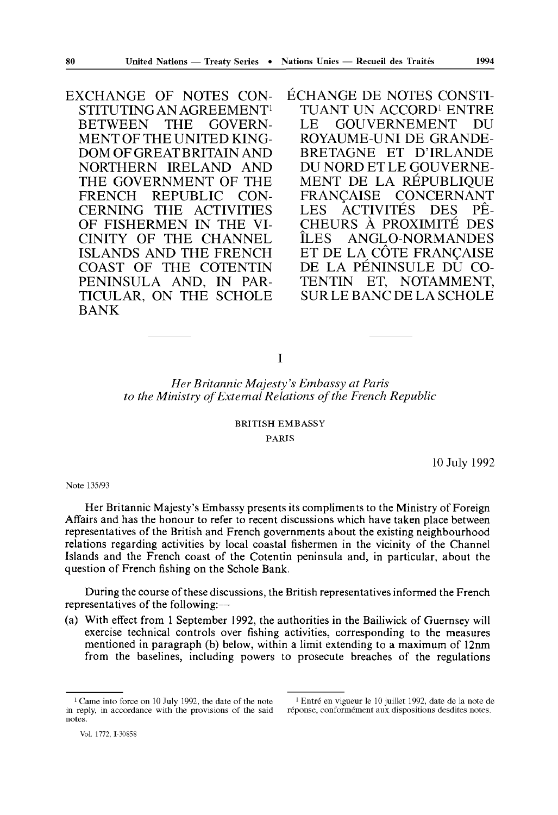- EXCHANGE OF NOTES CON STITUTING AN AGREEMENT<sup>1</sup><br>BETWEEN THE GOVERN-**BETWEEN** MENT OF THE UNITED KING DOM OF GREAT BRITAIN AND NORTHERN IRELAND AND THE GOVERNMENT OF THE<br>FRENCH REPUBLIC CON-**REPUBLIC** CERNING THE ACTIVITIES OF FISHERMEN IN THE VI CINITY OF THE CHANNEL ISLANDS AND THE FRENCH COAST OF THE COTENTIN PENINSULA AND, IN PAR TICULAR, ON THE SCHOLE BANK
- CHANGE DE NOTES CONSTI TUANT UN ACCORD<sup>1</sup> ENTRE<br>LE GOUVERNEMENT DU **GOUVERNEMENT** ROYAUME-UNI DE GRANDE-BRETAGNE ET D'IRLANDE DU NORD ET LE GOUVERNE MENT DE LA RÉPUBLIQUE FRANÇAISE CONCERNANT<br>LES ACTIVITÉS DES PÊ-ACTIVITÉS DES CHEURS À PROXIMITÉ DES<br>ÎLES - ANGLO-NORMANDES ANGLO-NORMANDES ET DE LA CÔTE FRANÇAISE DE LA PÉNINSULE DU CO-TENTIN ET, NOTAMMENT, SUR LE BANC DE LA SCHOLE

I

*Her Britannic Majesty's Embassy at Paris to the Ministry of External Relations of the French Republic*

#### **BRITISH EMBASSY**

**PARIS**

10 July 1992

Note 135/93

Her Britannic Majesty's Embassy presents its compliments to the Ministry of Foreign Affairs and has the honour to refer to recent discussions which have taken place between representatives of the British and French governments about the existing neighbourhood relations regarding activities by local coastal fishermen in the vicinity of the Channel Islands and the French coast of the Cotentin peninsula and, in particular, about the question of French fishing on the Schole Bank.

During the course of these discussions, the British representatives informed the French representatives of the following:

(a) With effect from 1 September 1992, the authorities in the Bailiwick of Guernsey will exercise technical controls over fishing activities, corresponding to the measures mentioned in paragraph (b) below, within a limit extending to a maximum of 12nm from the baselines, including powers to prosecute breaches of the regulations

<sup>1</sup> Came into force on 10 July 1992, the date of the note in reply, in accordance with the provisions of the said notes.

<sup>&</sup>lt;sup>1</sup> Entré en vigueur le 10 juillet 1992, date de la note de réponse, conformément aux dispositions desdites notes.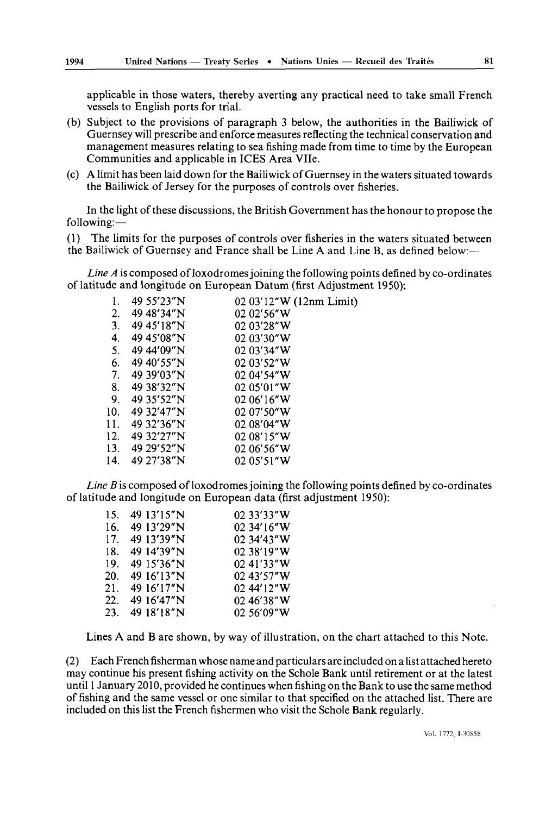applicable in those waters, thereby averting any practical need to take small French vessels to English ports for trial.

- (b) Subject to the provisions of paragraph 3 below, the authorities in the Bailiwick of Guernsey will prescribe and enforce measures reflecting the technical conservation and management measures relating to sea fishing made from time to time by the European Communities and applicable in ICES Area Vile.
- (c) A limit has been laid down for the Bailiwick of Guernsey in the waters situated towards the Bailiwick of Jersey for the purposes of controls over fisheries.

In the light of these discussions, the British Government has the honour to propose the following:

(1) The limits for the purposes of controls over fisheries in the waters situated between the Bailiwick of Guernsey and France shall be Line A and Line B, as defined below:

*Line A* is composed of loxodromes joining the following points defined by co-ordinates of latitude and longitude on European Datum (first Adjustment 1950):

|     | 49 55'23"N |                         |
|-----|------------|-------------------------|
|     |            | 02 03'12"W (12nm Limit) |
| 2.  | 49 48'34"N | $02.02'56''$ W          |
| 3.  | 49 45'18"N | 02 03'28"W              |
| 4.  | 49 45'08″N | $0203'30''$ W           |
| 5.  | 49 44'09"N | 0203'34''W              |
| 6.  | 49 40'55"N | 02.03'52''W             |
| 7.  | 49 39'03"N | 02 04'54"W              |
| 8.  | 49 38'32"N | 02 05'01"W              |
| 9.  | 49 35'52"N | $02.06'16''$ W          |
| 10. | 49 32'47"N | 02 07'50"W              |
| 11. | 49 32'36"N | 02.08'04''W             |
| 12. | 49 32'27"N | 02 08'15"W              |
| 13. | 49 29'52"N | $02.06'56''$ W          |
| 14. | 49 27'38"N | 02 05'51"W              |
|     |            |                         |

*Line B* is composed of loxodromes joining the following points defined by co-ordinates of latitude and longitude on European data (first adjustment 1950):

| 15. | 49 13'15"N | 02.33'33"W |
|-----|------------|------------|
| 16. | 49 13'29"N | 02 34'16"W |
| 17. | 49 13'39"N | 02 34'43"W |
| 18. | 49 14'39"N | 02.38'19"W |
| 19. | 49 15'36"N | 02 41'33"W |
| 20. | 49 16'13"N | 02 43'57"W |
| 21. | 49 16'17″N | 02.44'12"W |
| 22. | 49 16'47"N | 02.46'38"W |
| 23. | 49 18'18"N | 02.56'09"W |

Lines A and B are shown, by way of illustration, on the chart attached to this Note.

(2) Each French fisherman whose name and particulars are included on a list attached hereto may continue his present fishing activity on the Schole Bank until retirement or at the latest until 1 January 2010, provided he continues when fishing on the Bank to use the same method of fishing and the same vessel or one similar to that specified on the attached list. There are included on this list the French fishermen who visit the Schole Bank regularly.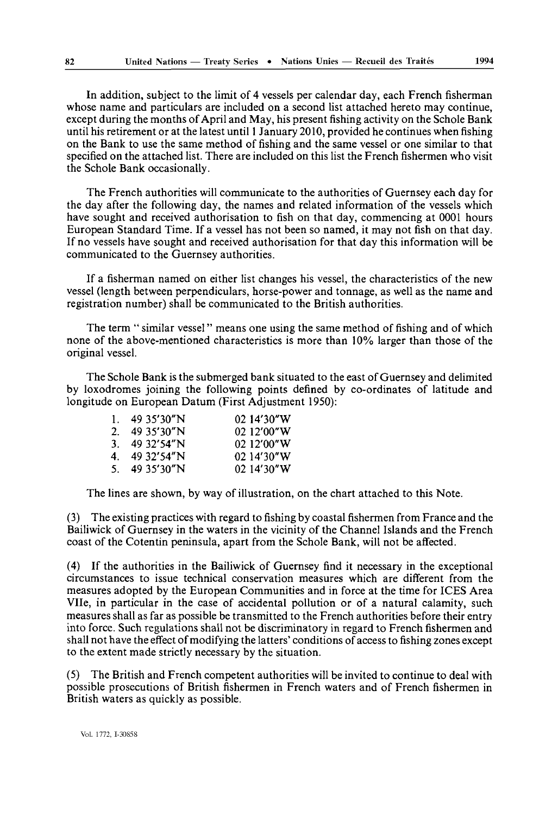In addition, subject to the limit of 4 vessels per calendar day, each French fisherman whose name and particulars are included on a second list attached hereto may continue, except during the months of April and May, his present fishing activity on the Schole Bank until his retirement or at the latest until 1 January 2010, provided he continues when fishing on the Bank to use the same method of fishing and the same vessel or one similar to that specified on the attached list. There are included on this list the French fishermen who visit the Schole Bank occasionally.

The French authorities will communicate to the authorities of Guernsey each day for the day after the following day, the names and related information of the vessels which have sought and received authorisation to fish on that day, commencing at 0001 hours European Standard Time. If a vessel has not been so named, it may not fish on that day. If no vessels have sought and received authorisation for that day this information will be communicated to the Guernsey authorities.

If a fisherman named on either list changes his vessel, the characteristics of the new vessel (length between perpendiculars, horse-power and tonnage, as well as the name and registration number) shall be communicated to the British authorities.

The term " similar vessel " means one using the same method of fishing and of which none of the above-mentioned characteristics is more than 10% larger than those of the original vessel.

The Schole Bank is the submerged bank situated to the east of Guernsey and delimited by loxodromes joining the following points defined by co-ordinates of latitude and longitude on European Datum (First Adjustment 1950):

| 1. 49 35'30"N    | $0214'30''$ W  |
|------------------|----------------|
| 2. $49.35'30''N$ | $02.12'00''$ W |
| 3.49.32'54"N     | $0212'00''$ W  |
| 4. 49 32'54" N   | 02 14'30"W     |
| 5.49.35'30"N     | 02 14'30"W     |

The lines are shown, by way of illustration, on the chart attached to this Note.

(3) The existing practices with regard to fishing by coastal fishermen from France and the Bailiwick of Guernsey in the waters in the vicinity of the Channel Islands and the French coast of the Cotentin peninsula, apart from the Schole Bank, will not be affected.

(4) If the authorities in the Bailiwick of Guernsey find it necessary in the exceptional circumstances to issue technical conservation measures which are different from the measures adopted by the European Communities and in force at the time for ICES Area Vile, in particular in the case of accidental pollution or of a natural calamity, such measures shall as far as possible be transmitted to the French authorities before their entry into force. Such regulations shall not be discriminatory in regard to French fishermen and shall not have the effect of modifying the latters' conditions of access to fishing zones except to the extent made strictly necessary by the situation.

(5) The British and French competent authorities will be invited to continue to deal with possible prosecutions of British fishermen in French waters and of French fishermen in British waters as quickly as possible.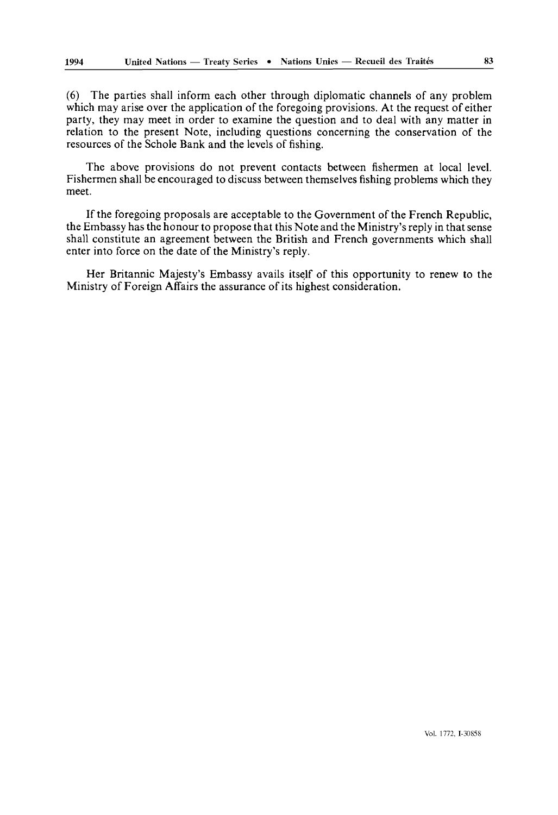(6) The parties shall inform each other through diplomatic channels of any problem which may arise over the application of the foregoing provisions. At the request of either party, they may meet in order to examine the question and to deal with any matter in relation to the present Note, including questions concerning the conservation of the resources of the Schole Bank and the levels of fishing.

The above provisions do not prevent contacts between fishermen at local level. Fishermen shall be encouraged to discuss between themselves fishing problems which they meet.

If the foregoing proposals are acceptable to the Government of the French Republic, the Embassy has the honour to propose that this Note and the Ministry's reply in that sense shall constitute an agreement between the British and French governments which shall enter into force on the date of the Ministry's reply.

Her Britannic Majesty's Embassy avails itself of this opportunity to renew to the Ministry of Foreign Affairs the assurance of its highest consideration.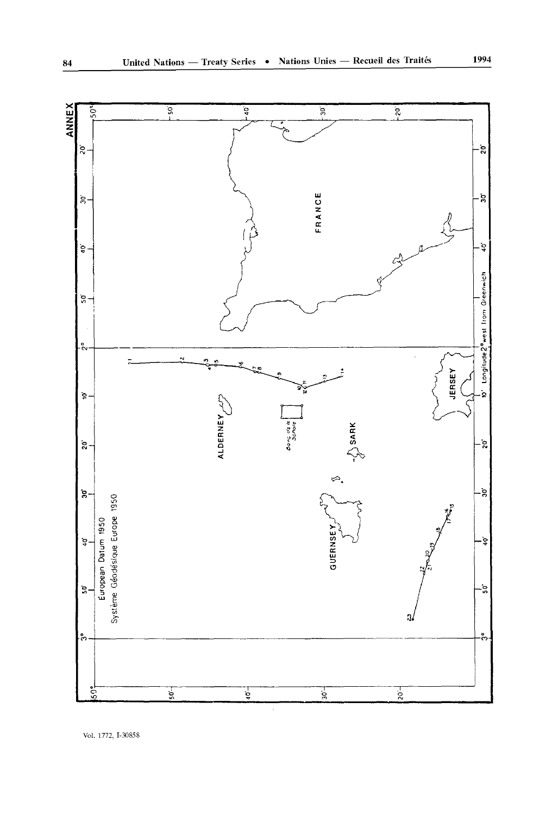

Vol. 1772, 1-30858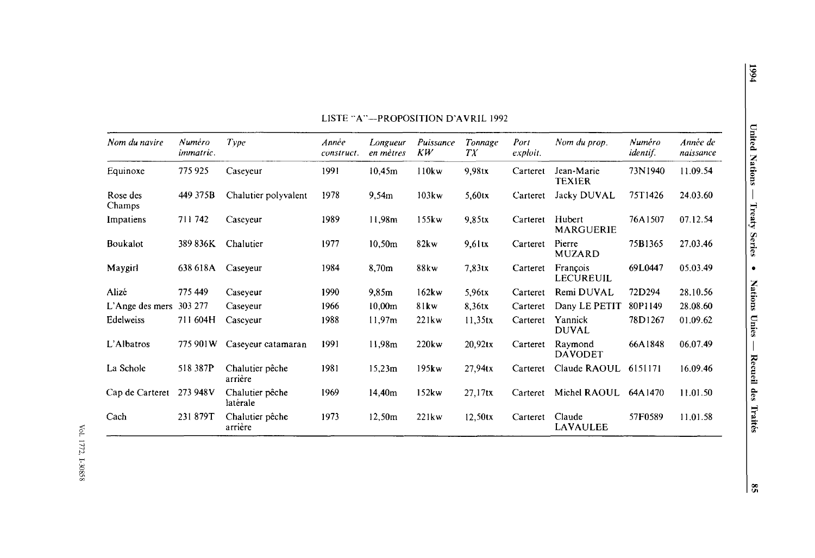| Nom du navire      | Numéro<br><i>immatric.</i> | Type                        | Année<br>construct. | Longueur<br>en mètres | Puissance<br>KW  | Tonnage<br>TX | Port<br>exploit. | Nom du prop.                | Numéro<br>identif. | Année de<br>naissance |
|--------------------|----------------------------|-----------------------------|---------------------|-----------------------|------------------|---------------|------------------|-----------------------------|--------------------|-----------------------|
| Equinoxe           | 775925                     | Caseyeur                    | 1991                | 10,45m                | 110kw            | 9,98tx        | Carteret         | Jean-Marie<br><b>TEXIER</b> | 73N1940            | 11.09.54              |
| Rose des<br>Champs | 449 375B                   | Chalutier polyvalent        | 1978                | 9,54m                 | 103kw            | 5,60tx        | Carteret         | Jacky DUVAL                 | 75T1426            | 24.03.60              |
| Impatiens          | 711 742                    | Caseyeur                    | 1989                | 11,98m                | 155kw            | 9,85tx        | Carteret         | Hubert<br><b>MARGUERIE</b>  | 76A1507            | 07.12.54              |
| Boukalot           | 389 836K                   | Chalutier                   | 1977                | 10,50m                | 82kw             | $9,6$ ltx     | Carteret         | Pierre<br><b>MUZARD</b>     | 75B1365            | 27,03.46              |
| Maygirl            | 638 618A                   | Caseyeur                    | 1984                | 8,70m                 | 88 <sub>kw</sub> | 7,83tx        | Carteret         | Francois<br>LECUREUIL       | 69L0447            | 05.03.49              |
| Alizé              | 775 449                    | Caseyeur                    | 1990                | 9,85m                 | $162$ kw         | 5,96tx        | Carteret         | Remi DUVAL                  | 72D294             | 28.10.56              |
| L'Ange des mers    | 303 277                    | Caseyeur                    | 1966                | 10,00m                | 81kw             | 8,36tx        | Carteret         | Dany LE PETIT               | 80P1149            | 28.08.60              |
| Edelweiss          | 711 604H                   | Caseyeur                    | 1988                | 11,97m                | 221kw            | 11,35tx       | Carteret         | Yannick<br><b>DUVAL</b>     | 78D1267            | 01.09.62              |
| L'Albatros         | 775 901W                   | Caseyeur catamaran          | 1991                | 11,98m                | 220kw            | 20,92tx       | Carteret         | Raymond<br><b>DAVODET</b>   | 66A1848            | 06.07.49              |
| La Schole          | 518 387P                   | Chalutier pêche<br>arrière  | 1981                | 15,23m                | 195kw            | 27,94tx       | Carteret         | Claude RAOUL                | 6151171            | 16.09.46              |
| Cap de Carteret    | 273 948 V                  | Chalutier pêche<br>latérale | 1969                | 14,40m                | 152kw            | 27,17tx       | Carteret         | Michel RAOUL                | 64A1470            | 11.01.50              |
| Cach               | 231 879T                   | Chalutier pêche<br>arrière  | 1973                | 12,50m                | $221$ kw         | 12,50tx       | Carteret         | Claude<br><b>LAVAULEE</b>   | 57F0589            | 11.01.58              |

#### LISTE "A' '—PROPOSITION D AVRIL 1992

 $+661$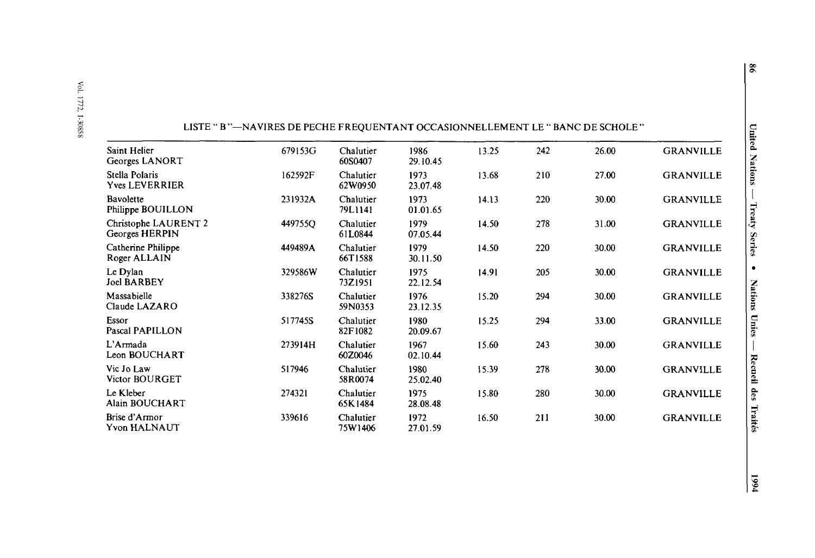| Saint Helier<br>Georges LANORT         | 679153G | Chalutier<br>60S0407 | 1986<br>29.10.45 | 13.25 | 242 | 26.00 | <b>GRANVILLE</b> |
|----------------------------------------|---------|----------------------|------------------|-------|-----|-------|------------------|
| Stella Polaris<br>Yves LEVERRIER       | 162592F | Chalutier<br>62W0950 | 1973<br>23.07.48 | 13.68 | 210 | 27.00 | <b>GRANVILLE</b> |
| Bavolette<br>Philippe BOUILLON         | 231932A | Chalutier<br>79L1141 | 1973<br>01.01.65 | 14.13 | 220 | 30.00 | <b>GRANVILLE</b> |
| Christophe LAURENT 2<br>Georges HERPIN | 449755Q | Chalutier<br>61L0844 | 1979<br>07.05.44 | 14.50 | 278 | 31.00 | <b>GRANVILLE</b> |
| Catherine Philippe<br>Roger ALLAIN     | 449489A | Chalutier<br>66T1588 | 1979<br>30.11.50 | 14.50 | 220 | 30.00 | <b>GRANVILLE</b> |
| Le Dylan<br>Joel BARBEY                | 329586W | Chalutier<br>73Z1951 | 1975<br>22.12.54 | 14.91 | 205 | 30.00 | <b>GRANVILLE</b> |
| Massabielle<br>Claude LAZARO           | 338276S | Chalutier<br>59N0353 | 1976<br>23.12.35 | 15.20 | 294 | 30.00 | <b>GRANVILLE</b> |
| Essor<br>Pascal PAPILLON               | 517745S | Chalutier<br>82F1082 | 1980<br>20.09.67 | 15.25 | 294 | 33.00 | <b>GRANVILLE</b> |
| L'Armada<br>Leon BOUCHART              | 273914H | Chalutier<br>60Z0046 | 1967<br>02.10.44 | 15.60 | 243 | 30.00 | <b>GRANVILLE</b> |
| Vic Jo Law<br>Victor BOURGET           | 517946  | Chalutier<br>58R0074 | 1980<br>25.02.40 | 15.39 | 278 | 30.00 | <b>GRANVILLE</b> |
| Le Kleber<br>Alain BOUCHART            | 274321  | Chalutier<br>65K1484 | 1975<br>28.08.48 | 15.80 | 280 | 30.00 | <b>GRANVILLE</b> |
| Brise d'Armor<br>Yvon HALNAUT          | 339616  | Chalutier<br>75W1406 | 1972<br>27.01.59 | 16.50 | 211 | 30.00 | <b>GRANVILLE</b> |

g. a

 $\frac{1994}{\ }$ 

l raitès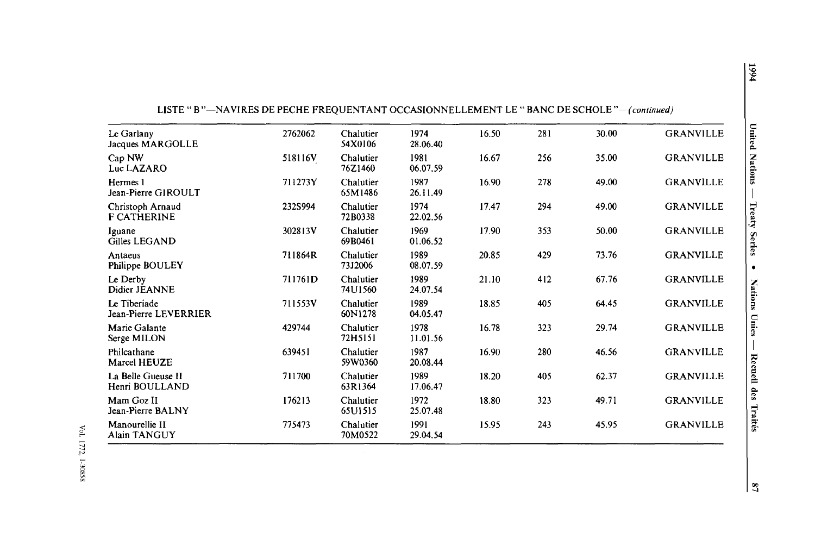| Le Garlany<br>Jacques MARGOLLE         | 2762062 | Chalutier<br>54X0106 | 1974<br>28.06.40 | 16.50 | 281 | 30.00 | <b>GRANVILLE</b> |
|----------------------------------------|---------|----------------------|------------------|-------|-----|-------|------------------|
| Cap NW<br>Luc LAZARO                   | 518116V | Chalutier<br>76Z1460 | 1981<br>06.07.59 | 16.67 | 256 | 35.00 | <b>GRANVILLE</b> |
| Hermes 1<br>Jean-Pierre GIROULT        | 711273Y | Chalutier<br>65M1486 | 1987<br>26.11.49 | 16.90 | 278 | 49.00 | <b>GRANVILLE</b> |
| Christoph Arnaud<br><b>F CATHERINE</b> | 232S994 | Chalutier<br>72B0338 | 1974<br>22.02.56 | 17.47 | 294 | 49.00 | <b>GRANVILLE</b> |
| Iguane<br>Gilles LEGAND                | 302813V | Chalutier<br>69B0461 | 1969<br>01.06.52 | 17.90 | 353 | 50.00 | <b>GRANVILLE</b> |
| Antaeus<br>Philippe BOULEY             | 711864R | Chalutier<br>73J2006 | 1989<br>08.07.59 | 20.85 | 429 | 73.76 | <b>GRANVILLE</b> |
| Le Derby<br>Didier JEANNE              | 711761D | Chalutier<br>74U1560 | 1989<br>24.07.54 | 21.10 | 412 | 67.76 | <b>GRANVILLE</b> |
| Le Tiberiade<br>Jean-Pierre LEVERRIER  | 711553V | Chalutier<br>60N1278 | 1989<br>04.05.47 | 18.85 | 405 | 64.45 | <b>GRANVILLE</b> |
| Marie Galante<br>Serge MILON           | 429744  | Chalutier<br>72H5151 | 1978<br>11.01.56 | 16.78 | 323 | 29.74 | <b>GRANVILLE</b> |
| Philcathane<br>Marcel HEUZE            | 639451  | Chalutier<br>59W0360 | 1987<br>20.08.44 | 16.90 | 280 | 46.56 | <b>GRANVILLE</b> |
| La Belle Gueuse II<br>Henri BOULLAND   | 711700  | Chalutier<br>63R1364 | 1989<br>17.06.47 | 18.20 | 405 | 62.37 | <b>GRANVILLE</b> |
| Mam Goz II<br>Jean-Pierre BALNY        | 176213  | Chalutier<br>65U1515 | 1972<br>25.07.48 | 18.80 | 323 | 49.71 | <b>GRANVILLE</b> |
| Manourellie II<br>Alain TANGUY         | 775473  | Chalutier<br>70M0522 | 1991<br>29.04.54 | 15.95 | 243 | 45.95 | <b>GRANVILLE</b> |

#### LISTE "B"— NAVIRES DE PECHE FREQUENTANT OCCASIONNELLEMENT LE "BANC DE SCHOLE" *(continued)*